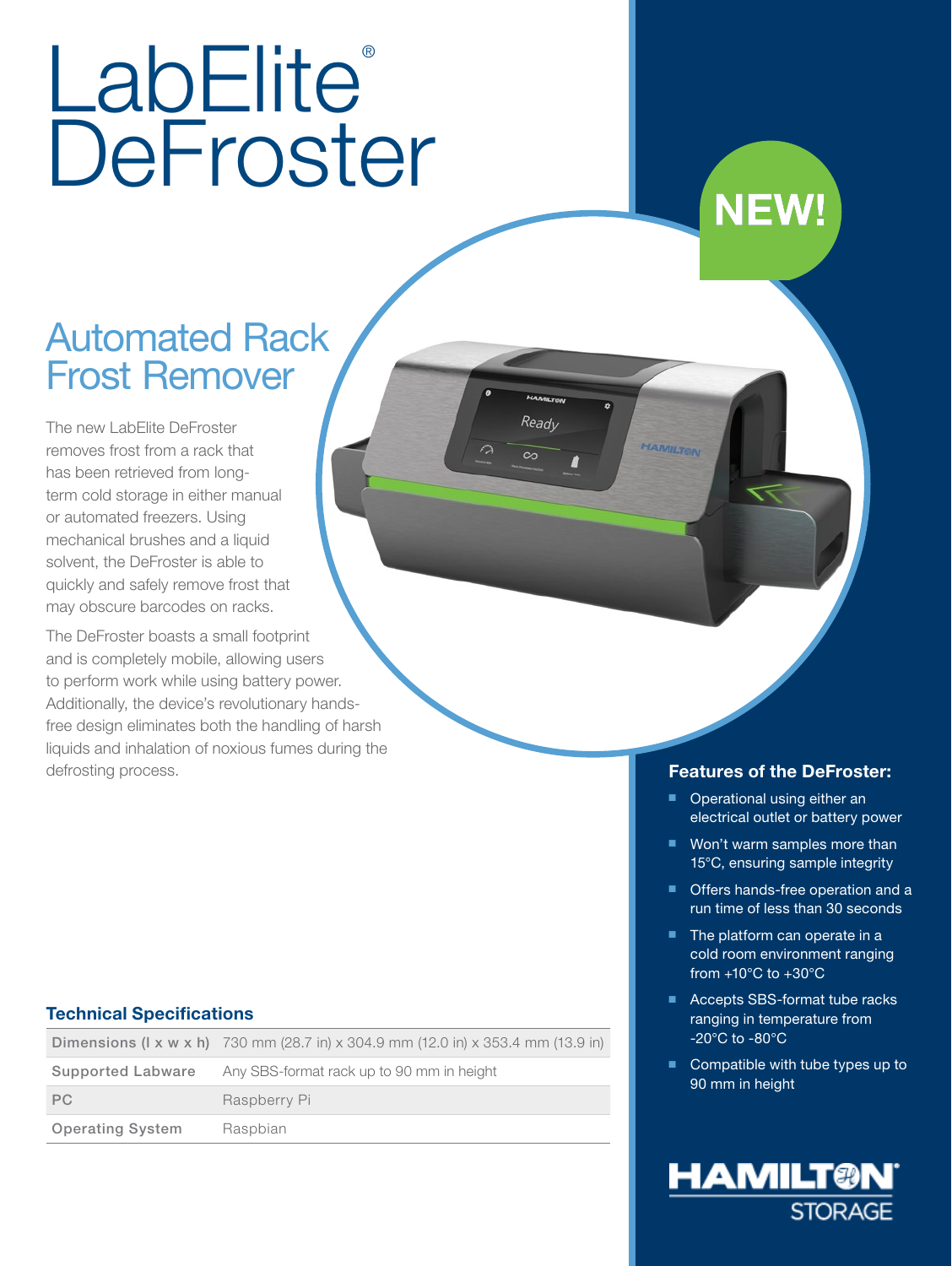# LabElite® **DeFroster**

## Automated Rack Frost Remover

The new LabElite DeFroster removes frost from a rack that has been retrieved from longterm cold storage in either manual or automated freezers. Using mechanical brushes and a liquid solvent, the DeFroster is able to quickly and safely remove frost that may obscure barcodes on racks.

The DeFroster boasts a small footprint and is completely mobile, allowing users to perform work while using battery power. Additionally, the device's revolutionary handsfree design eliminates both the handling of harsh liquids and inhalation of noxious fumes during the defrosting process.

#### Technical Specifications

|                         | <b>Dimensions (I x w x h)</b> 730 mm (28.7 in) x 304.9 mm (12.0 in) x 353.4 mm (13.9 in) |
|-------------------------|------------------------------------------------------------------------------------------|
| Supported Labware       | Any SBS-format rack up to 90 mm in height                                                |
| PC.                     | Raspberry Pi                                                                             |
| <b>Operating System</b> | Raspbian                                                                                 |

#### Features of the DeFroster:

**NEW!** 

**HAMILTON** Ready

 $\infty$ 

- Operational using either an electrical outlet or battery power
- Won't warm samples more than 15°C, ensuring sample integrity
- Offers hands-free operation and a run time of less than 30 seconds
- The platform can operate in a cold room environment ranging from  $+10^{\circ}$ C to  $+30^{\circ}$ C
- Accepts SBS-format tube racks ranging in temperature from -20°C to -80°C
- Compatible with tube types up to 90 mm in height